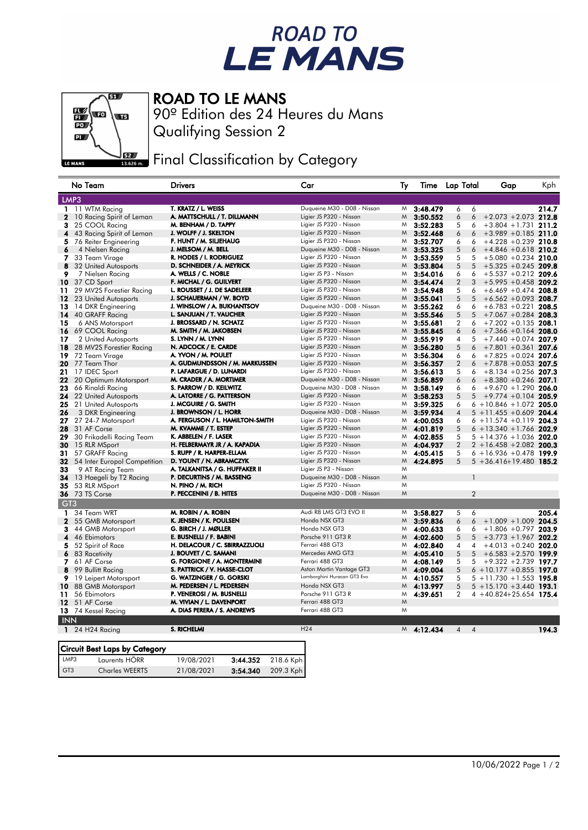## ROAD TO<br>LE MANS



ROAD TO LE MANS

GT3 Charles WEERTS 21/08/2021 3:54.340 209.3 Kph

Qualifying Session 2 90º Edition des 24 Heures du Mans

Final Classification by Category

|                 | No Team                              | Drivers                             | Car                         | Ty |              | Time Lap Total      | Gap                           | Kph   |
|-----------------|--------------------------------------|-------------------------------------|-----------------------------|----|--------------|---------------------|-------------------------------|-------|
|                 | LMP3                                 |                                     |                             |    |              |                     |                               |       |
| 1.              | 11 WTM Racing                        | T. KRATZ / L. WEISS                 | Duqueine M30 - D08 - Nissan | Μ  | 3:48.479     | 6<br>6              |                               | 214.7 |
| $\mathbf{2}$    | 10 Racing Spirit of Leman            | A. MATTSCHULL / T. DILLMANN         | Ligier JS P320 - Nissan     | M  | 3:50.552     | 6<br>6              | $+2.073 + 2.073$ 212.8        |       |
| 3               | 25 COOL Racing                       | M. BENHAM / D. TAPPY                | Ligier JS P320 - Nissan     | M  | 3:52.283     | 5<br>6              | $+3.804 + 1.731$ 211.2        |       |
| 4               | 43 Racing Spirit of Leman            | J. WOLFF / J. SKELTON               | Ligier JS P320 - Nissan     | M  | 3:52.468     | 6<br>6              | $+3.989 +0.185$ 211.0         |       |
| 5               | 76 Reiter Engineering                | F. HUNT / M. SILJEHAUG              | Ligier JS P320 - Nissan     | M  | 3:52.707     | 6<br>6              | $+4.228 + 0.239$ 210.8        |       |
| 6               | 4 Nielsen Racing                     | J. MELSOM / M. BELL                 | Duqueine M30 - D08 - Nissan | M  | 3:53.325     | 5<br>6              | $+4.846 + 0.618$ 210.2        |       |
| 7               | 33 Team Virage                       | r. Hodes / I. Rodriguez             | Ligier JS P320 - Nissan     | M  | 3:53.559     | 5<br>5              | $+5.080 + 0.234$ 210.0        |       |
| 8               | 32 United Autosports                 | D. SCHNEIDER / A. MEYRICK           | Ligier JS P320 - Nissan     | M  | 3:53.804     | 5<br>5              | $+5.325 +0.245$ 209.8         |       |
| 9               | 7 Nielsen Racing                     | A. WELLS / C. NOBLE                 | Ligier JS P3 - Nissan       | M  | 3:54.016     | 6<br>6              | $+5.537 +0.212$ 209.6         |       |
| 10              | 37 CD Sport                          | F. MICHAL / G. GUILVERT             | Ligier JS P320 - Nissan     | M  | 3:54.474     | $\overline{2}$<br>3 | $+5.995 +0.458$ 209.2         |       |
| 11.             | 29 MV2S Forestier Racing             | L. ROUSSET / J. DE SADELEER         | Ligier JS P320 - Nissan     | M  | 3:54.948     | 5<br>6              | $+6.469 + 0.474$ 208.8        |       |
| 12              | 23 United Autosports                 | J. SCHAUERMAN / W. BOYD             | Ligier JS P320 - Nissan     | M  | 3:55.041     | 5<br>5              | $+6.562 + 0.093$ 208.7        |       |
| 13              | 14 DKR Engineering                   | J. WINSLOW / A. BUKHANTSOV          | Duqueine M30 - D08 - Nissan | M  | 3:55.262     | 6<br>6              | $+6.783 +0.221$ 208.5         |       |
| 14              | 40 GRAFF Racing                      | L. SANJUAN / T. VAUCHER             | Ligier JS P320 - Nissan     | M  | 3:55.546     | 5<br>5              | $+7.067 + 0.284$ 208.3        |       |
| 15              | 6 ANS Motorsport                     | J. BROSSARD / N. SCHATZ             | Ligier JS P320 - Nissan     | M  | 3:55.681     | $\overline{2}$<br>6 | $+7.202 +0.135$ 208.1         |       |
| 16              | 69 COOL Racing                       | M. SMITH / M. JAKOBSEN              | Ligier JS P320 - Nissan     | M  | 3:55.845     | 6<br>6              | $+7.366 + 0.164$ 208.0        |       |
| 17              | 2 United Autosports                  | S. LYNN / M. LYNN                   | Ligier JS P320 - Nissan     | M  | 3:55.919     | 4<br>5              | $+7.440 + 0.074$ 207.9        |       |
| 18              | 28 MV2S Forestier Racing             | N. ADCOCK / E. CARDE                | Ligier JS P320 - Nissan     | M  | 3:56.280     | 5<br>6              | $+7.801 + 0.361$ 207.6        |       |
| 19              | 72 Team Virage                       | A. YVON / M. POULET                 | Ligier JS P320 - Nissan     | M  | 3:56.304     | 6<br>6              | $+7.825 +0.024$ 207.6         |       |
| 20              | 77 Team Thor                         | A. GUDMUNDSSON / M. MARKUSSEN       | Ligier JS P320 - Nissan     | M  | 3:56.357     | $\overline{2}$<br>6 | $+7.878 + 0.053$ 207.5        |       |
| 21              | 17 IDEC Sport                        | P. LAFARGUE / D. LUNARDI            | Ligier JS P320 - Nissan     | M  | 3:56.613     | 5<br>6              | $+8.134 + 0.256$ 207.3        |       |
| 22              | 20 Optimum Motorsport                | M. CRADER / A. MORTIMER             | Duqueine M30 - D08 - Nissan | M  | 3:56.859     | 6<br>6              | $+8.380 + 0.246$ 207.1        |       |
| 23              | 66 Rinaldi Racing                    | S. PARROW / D. KEILWITZ             | Duqueine M30 - D08 - Nissan | M  | 3:58.149     | 6<br>6              | $+9.670 +1.290$ 206.0         |       |
| 24              | 22 United Autosports                 | A. LATORRE / G. PATTERSON           | Ligier JS P320 - Nissan     | M  | 3:58.253     | 5<br>5              | $+9.774 + 0.104$ 205.9        |       |
| 25              | 21 United Autosports                 | J. MCGUIRE / G. SMITH               | Ligier JS P320 - Nissan     | M  | 3:59.325     | 6                   | $6 + 10.846 + 1.072$ 205.0    |       |
| 26              | 3 DKR Engineering                    | J. BROWNSON / L. HORR               | Duqueine M30 - D08 - Nissan | M  | 3:59.934     | 4                   | $5 + 11.455 + 0.609$ 204.4    |       |
| 27              | 27 24-7 Motorsport                   | A. FERGUSON / L. HAMILTON-SMITH     | Ligier JS P320 - Nissan     | M  | 4:00.053     | 6                   | $6 + 11.574 + 0.119$ 204.3    |       |
| 28              | 31 AF Corse                          | M. KVAMME / T. ESTEP                | Ligier JS P320 - Nissan     | M  | 4:01.819     | 5                   | $6 + 13.340 + 1.766$ 202.9    |       |
| 29              | 30 Frikadelli Racing Team            | K. ABBELEN / F. LASER               | Ligier JS P320 - Nissan     | M  | 4:02.855     | 5                   | $5 + 14.376 + 1.036$ 202.0    |       |
| 30              | 15 RLR MSport                        | H. FELBERMAYR JR / A. KAPADIA       | Ligier JS P320 - Nissan     | M  | 4:04.937     | $\overline{2}$      | $2 + 16.458 + 2.082$ 200.3    |       |
| 31              | 57 GRAFF Racing                      | S. RUPP / R. HARPER-ELLAM           | Ligier JS P320 - Nissan     | M  | 4:05.415     | 5                   | $6 + 16.936 + 0.478$ 199.9    |       |
| 32              | 54 Inter Europol Competition         | D. YOUNT / N. ABRAMCZYK             | Ligier JS P320 - Nissan     | M  | 4:24.895     | 5                   | $5 + 36.416 + 19.480$ 185.2   |       |
| 33              | 9 AT Racing Team                     | A. TALKANITSA / G. HUFFAKER II      | Ligier JS P3 - Nissan       | M  |              |                     |                               |       |
| 34              | 13 Haegeli by T2 Racing              | P. DECURTINS / M. BASSENG           | Duqueine M30 - D08 - Nissan | M  |              |                     |                               |       |
| 35              | 53 RLR MSport                        | N. PINO / M. RICH                   | Ligier JS P320 - Nissan     | M  |              |                     |                               |       |
|                 | <b>36</b> 73 TS Corse                | P. PECCENINI / B. HITES             | Duqueine M30 - D08 - Nissan | M  |              | $\overline{2}$      |                               |       |
| GT <sub>3</sub> |                                      |                                     |                             |    |              |                     |                               |       |
| 1               | 34 Team WRT                          | M. ROBIN / A. ROBIN                 | Audi R8 LMS GT3 EVO II      | M  | 3:58.827     | 5<br>6              |                               | 205.4 |
| $\mathbf{2}$    | 55 GMB Motorsport                    | K. JENSEN / K. POULSEN              | Honda NSX GT3               | M  | 3:59.836     | 6<br>6              | $+1.009 + 1.009$              | 204.5 |
| 3               | 44 GMB Motorsport                    | G. BIRCH / J. MØLLER                | Honda NSX GT3               | M  | 4:00.633     | 6<br>6              | $+1.806 +0.797$ 203.9         |       |
| 4               | 46 Ebimotors                         | E. BUSNELLI / F. BABINI             | Porsche 911 GT3 R           | M  | 4:02.600     | 5<br>5              | $+3.773 + 1.967$ 202.2        |       |
| 5               | 52 Spirit of Race                    | H. DELACOUR / C. SBIRRAZZUOLI       | Ferrari 488 GT3             | M  | 4:02.840     | 4<br>4              | $+4.013 + 0.240$ 202.0        |       |
| 6               | 83 Racetivity                        | J. BOUVET / C. SAMANI               | Mercedes AMG GT3            | M  | 4:05.410     | 5<br>5              | $+6.583 + 2.570$ 199.9        |       |
| 7               | 61 AF Corse                          | <b>G. FORGIONE / A. MONTERMINI</b>  | Ferrari 488 GT3             | M  | 4:08.149     | 5<br>5              | $+9.322 + 2.739$ 197.7        |       |
| 8               | 99 Bullitt Racing                    | S. PATTRICK / V. HASSE-CLOT         | Aston Martin Vantage GT3    | M  | 4:09.004     | 5                   | $6 + 10.177 + 0.855$ 197.0    |       |
| 9               | 19 Leipert Motorsport                | G. WATZINGER / G. GORSKI            | Lamborghini Huracan GT3 Evo | M  | 4:10.557     | 5                   | $5 + 11.730 + 1.553$ 195.8    |       |
| 10              | 88 GMB Motorsport                    | M. PEDERSEN / L. PEDERSEN           | Honda NSX GT3               | M  | 4:13.997     | 5                   | $5 + 15.170 + 3.440$ 193.1    |       |
| 11              | 56 Ebimotors                         | P. VENEROSI / M. BUSNELLI           | Porsche 911 GT3 R           | M  | 4:39.651     | $\overline{2}$      | 4 +40.824+25.654 <b>175.4</b> |       |
| 12              | 51 AF Corse                          | M. VIVIAN / L. DAVENPORT            | Ferrari 488 GT3             | M  |              |                     |                               |       |
|                 | 13 74 Kessel Racing                  | A. DIAS PERERA / S. ANDREWS         | Ferrari 488 GT3             | M  |              |                     |                               |       |
| <b>INN</b>      |                                      |                                     |                             |    |              |                     |                               |       |
|                 | $124H24$ Racing                      | S. RICHELMI                         | H <sub>24</sub>             |    | $M$ 4:12.434 | $4 \quad 4$         |                               | 194.3 |
|                 |                                      |                                     |                             |    |              |                     |                               |       |
|                 | <b>Circuit Best Laps by Category</b> |                                     |                             |    |              |                     |                               |       |
| LMP3            | Laurents HÖRR                        | 19/08/2021<br>3:44.352<br>218.6 Kph |                             |    |              |                     |                               |       |